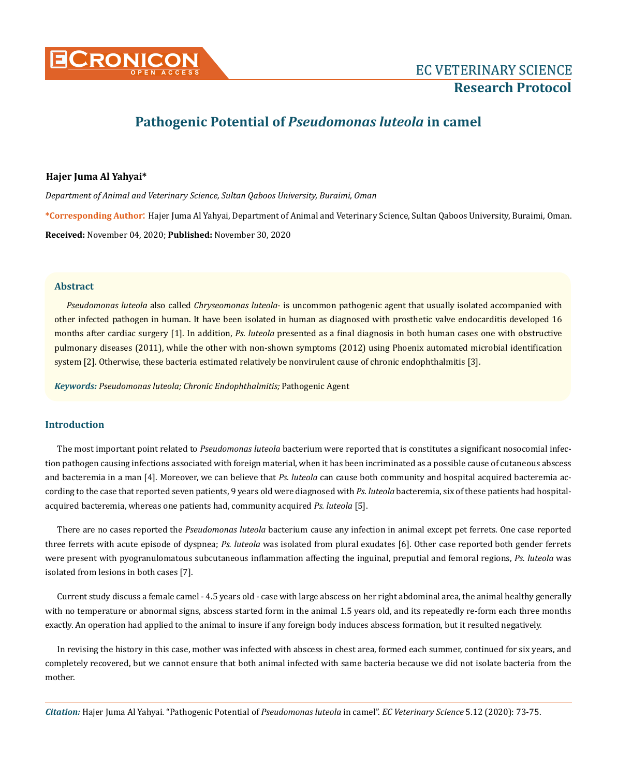

# **Pathogenic Potential of** *Pseudomonas luteola* **in camel**

# **Hajer Juma Al Yahyai\***

*Department of Animal and Veterinary Science, Sultan Qaboos University, Buraimi, Oman* **\*Corresponding Author**: Hajer Juma Al Yahyai, Department of Animal and Veterinary Science, Sultan Qaboos University, Buraimi, Oman. **Received:** November 04, 2020; **Published:** November 30, 2020

# **Abstract**

*Pseudomonas luteola* also called *Chryseomonas luteola*- is uncommon pathogenic agent that usually isolated accompanied with other infected pathogen in human. It have been isolated in human as diagnosed with prosthetic valve endocarditis developed 16 months after cardiac surgery [1]. In addition, *Ps. luteola* presented as a final diagnosis in both human cases one with obstructive pulmonary diseases (2011), while the other with non-shown symptoms (2012) using Phoenix automated microbial identification system [2]. Otherwise, these bacteria estimated relatively be nonvirulent cause of chronic endophthalmitis [3].

*Keywords: Pseudomonas luteola; Chronic Endophthalmitis;* Pathogenic Agent

# **Introduction**

The most important point related to *Pseudomonas luteola* bacterium were reported that is constitutes a significant nosocomial infection pathogen causing infections associated with foreign material, when it has been incriminated as a possible cause of cutaneous abscess and bacteremia in a man [4]. Moreover, we can believe that *Ps. luteola* can cause both community and hospital acquired bacteremia according to the case that reported seven patients, 9 years old were diagnosed with *Ps. luteola* bacteremia, six of these patients had hospitalacquired bacteremia, whereas one patients had, community acquired *Ps. luteola* [5].

There are no cases reported the *Pseudomonas luteola* bacterium cause any infection in animal except pet ferrets. One case reported three ferrets with acute episode of dyspnea; *Ps. luteola* was isolated from plural exudates [6]. Other case reported both gender ferrets were present with pyogranulomatous subcutaneous inflammation affecting the inguinal, preputial and femoral regions, *Ps. luteola* was isolated from lesions in both cases [7].

Current study discuss a female camel - 4.5 years old - case with large abscess on her right abdominal area, the animal healthy generally with no temperature or abnormal signs, abscess started form in the animal 1.5 years old, and its repeatedly re-form each three months exactly. An operation had applied to the animal to insure if any foreign body induces abscess formation, but it resulted negatively.

In revising the history in this case, mother was infected with abscess in chest area, formed each summer, continued for six years, and completely recovered, but we cannot ensure that both animal infected with same bacteria because we did not isolate bacteria from the mother.

*Citation:* Hajer Juma Al Yahyai*.* "Pathogenic Potential of *Pseudomonas luteola* in camel". *EC Veterinary Science* 5.12 (2020): 73-75.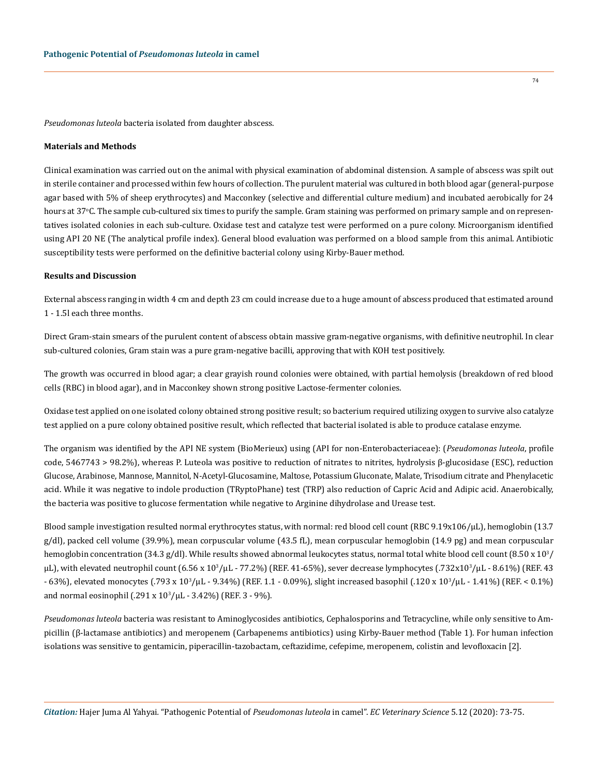*Pseudomonas luteola* bacteria isolated from daughter abscess.

#### **Materials and Methods**

Clinical examination was carried out on the animal with physical examination of abdominal distension. A sample of abscess was spilt out in sterile container and processed within few hours of collection. The purulent material was cultured in both blood agar (general-purpose agar based with 5% of sheep erythrocytes) and Macconkey (selective and differential culture medium) and incubated aerobically for 24 hours at 37°C. The sample cub-cultured six times to purify the sample. Gram staining was performed on primary sample and on representatives isolated colonies in each sub-culture. Oxidase test and catalyze test were performed on a pure colony. Microorganism identified using API 20 NE (The analytical profile index). General blood evaluation was performed on a blood sample from this animal. Antibiotic susceptibility tests were performed on the definitive bacterial colony using Kirby-Bauer method.

#### **Results and Discussion**

External abscess ranging in width 4 cm and depth 23 cm could increase due to a huge amount of abscess produced that estimated around 1 - 1.5l each three months.

Direct Gram-stain smears of the purulent content of abscess obtain massive gram-negative organisms, with definitive neutrophil. In clear sub-cultured colonies, Gram stain was a pure gram-negative bacilli, approving that with KOH test positively.

The growth was occurred in blood agar; a clear grayish round colonies were obtained, with partial hemolysis (breakdown of red blood cells (RBC) in blood agar), and in Macconkey shown strong positive Lactose-fermenter colonies.

Oxidase test applied on one isolated colony obtained strong positive result; so bacterium required utilizing oxygen to survive also catalyze test applied on a pure colony obtained positive result, which reflected that bacterial isolated is able to produce catalase enzyme.

The organism was identified by the API NE system (BioMerieux) using (API for non-Enterobacteriaceae): (*Pseudomonas luteola*, profile code, 5467743 > 98.2%), whereas P. Luteola was positive to reduction of nitrates to nitrites, hydrolysis β-glucosidase (ESC), reduction Glucose, Arabinose, Mannose, Mannitol, N-Acetyl-Glucosamine, Maltose, Potassium Gluconate, Malate, Trisodium citrate and Phenylacetic acid. While it was negative to indole production (TRyptoPhane) test (TRP) also reduction of Capric Acid and Adipic acid. Anaerobically, the bacteria was positive to glucose fermentation while negative to Arginine dihydrolase and Urease test.

Blood sample investigation resulted normal erythrocytes status, with normal: red blood cell count (RBC 9.19x106/µL), hemoglobin (13.7 g/dl), packed cell volume (39.9%), mean corpuscular volume (43.5 fL), mean corpuscular hemoglobin (14.9 pg) and mean corpuscular hemoglobin concentration (34.3 g/dl). While results showed abnormal leukocytes status, normal total white blood cell count (8.50 x  $10^{3}\prime$  $\mu$ L), with elevated neutrophil count (6.56 x 10<sup>3</sup>/ $\mu$ L - 77.2%) (REF. 41-65%), sever decrease lymphocytes (.732x10<sup>3</sup>/ $\mu$ L - 8.61%) (REF. 43 - 63%), elevated monocytes (.793 x 103 /µL - 9.34%) (REF. 1.1 - 0.09%), slight increased basophil (.120 x 10<sup>3</sup> /µL - 1.41%) (REF. < 0.1%) and normal eosinophil (.291 x 103 /µL - 3.42%) (REF. 3 - 9%).

*Pseudomonas luteola* bacteria was resistant to Aminoglycosides antibiotics, Cephalosporins and Tetracycline, while only sensitive to Ampicillin (β-lactamase antibiotics) and meropenem (Carbapenems antibiotics) using Kirby-Bauer method (Table 1). For human infection isolations was sensitive to gentamicin, piperacillin-tazobactam, ceftazidime, cefepime, meropenem, colistin and levofloxacin [2].